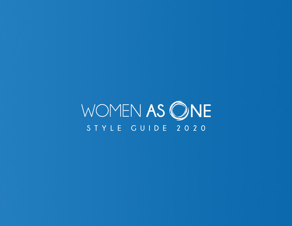WOMEN AS ONE **STYLE GUIDE 2020**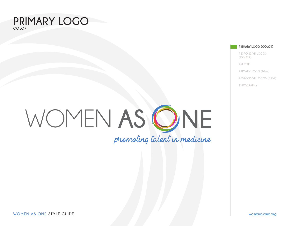#### **PRIMARY LOGO COLOR**

**PRIMARY LOGO (COLOR)**

**RESPONSIVE LOGOS (COLOR)**

**PALETTE**

**PRIMARY LOGO (B&W)**

**RESPONSIVE LOGOS (B&W)**

**TYPOGRAPHY**

# WOMEN AS ONE promoting talent in medicine

**WOMEN AS ONE STYLE GUIDE womenasone.org**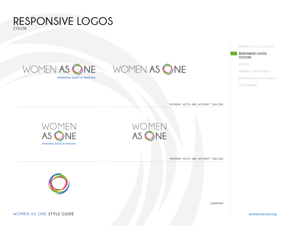

PRIMARY WITH AND WITHOUT TAGLINE

LOGOMARK

PRIMARY WITH AND WITHOUT TAGLINE





## WOMEN AS ONE WOMEN AS ONE

**RESPONSIVE LOGOS**

**COLOR**

promoting talent in medicine

**PRIMARY LOGO (COLOR)**

**RESPONSIVE LOGOS (COLOR)**

**PALETTE**

**PRIMARY LOGO (B&W)**

**RESPONSIVE LOGOS (B&W)**

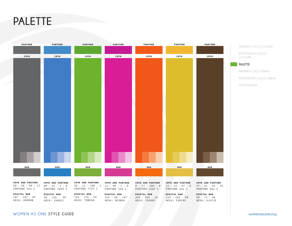## **PALETTE**



#### **WOMEN AS ONE STYLE GUIDE womenasone.org**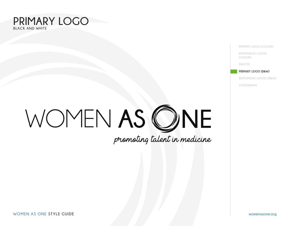#### **PRIMARY LOGO BLACK AND WHITE**

**PRIMARY LOGO (COLOR)**

**RESPONSIVE LOGOS (COLOR)**

**PALETTE**

#### **PRIMARY LOGO (B&W)**

**RESPONSIVE LOGOS (B&W)**

**TYPOGRAPHY**

# WOMEN AS ONE

**WOMEN AS ONE STYLE GUIDE womenasone.org**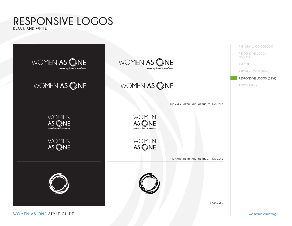#### **RESPONSIVE LOGOS BLACK AND WHITE**

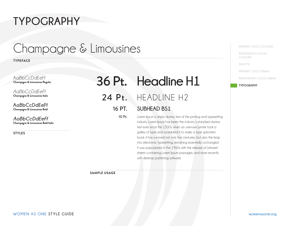## **TYPOGRAPHY**

## Champagne & Limousines

**TYPEFACE**

AaBbCcDdEeFf **Champagne & Limousines Regular**

*AaBbCcDdEeFf* **Champagne & Limousines Italic**

**AaBbCcDdEeFf Champagne & Limousines Bold**

*AaBbCcDdEeFf* **Champagne & Limousines Bold Italic**

**STYLES**

| 36 Pt. Headline H1 |
|--------------------|
| 24 Pt. HEADLINE H2 |

#### **SUBHEAD BS1** 16 PT.

10 Pt.

Lorem Ipsum is simply dummy text of the printing and typesetting industry. Lorem Ipsum has been the industry's standard dummy text ever since the 1500s, when an unknown printer took a galley of type and scrambled it to make a type specimen book. It has survived not only five centuries, but also the leap into electronic typesetting, remaining essentially unchanged. It was popularized in the 1960s with the release of Letraset sheets containing Lorem Ipsum passages, and more recently with desktop publishing software.

**SAMPLE USAGE**

**PRIMARY LOGO (COLOR)**

**RESPONSIVE LOGOS (COLOR)**

**PALETTE**

**PRIMARY LOGO (B&W)**

**RESPONSIVE LOGOS (B&W)**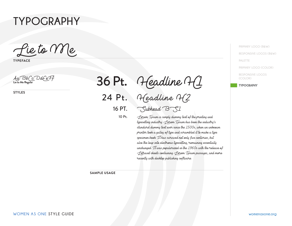### **TYPOGRAPHY**

Lie to Me

**TYPEFACE**

AaBbCcDdEeFf **Lie to Me Regular**

**STYLES**

Headline H1 Headline H2  $16$  PT.  $\bigcirc$ Subhead  $\bigcirc$ SI Lorem Ipsum is simply dummy text of the printing and 36 Pt. 24 Pt. 10 Pt.

typesetting industry. Porem I poum has been the industry's standard dummy text ever since the 1500s, when an unknown printer took a galley of type and scrambled it to make a type specimen book. It has survived not only five centuries, but also the leap into electronic typesetting, remaining essentially unchanged. It was popularized in the 1960s with the release of Letraset sheets containing Lorem Ipsum passages, and more recently with desktop publishing software.

**SAMPLE USAGE**

**PRIMARY LOGO (B&W) RESPONSIVE LOGOS (B&W) PALETTE PRIMARY LOGO (COLOR) RESPONSIVE LOGOS (COLOR)**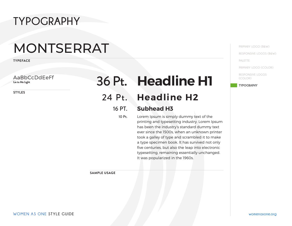## **TYPOGRAPHY**

## MONTSERRAT

**TYPEFACE**

AaBbCcDdEeFf **Lie to Me Light**

**STYLES**

## **Headline H1** 36 Pt.

#### 24 Pt. Headline H2

#### **Subhead H3** 16 PT.

10 Pt.

Lorem Ipsum is simply dummy text of the printing and typesetting industry. Lorem Ipsum has been the industry's standard dummy text ever since the 1500s, when an unknown printer took a galley of type and scrambled it to make a type specimen book. It has survived not only five centuries, but also the leap into electronic typesetting, remaining essentially unchanged. It was popularized in the 1960s.

**SAMPLE USAGE**

**PRIMARY LOGO (B&W) RESPONSIVE LOGOS (B&W) PALETTE PRIMARY LOGO (COLOR)**

**RESPONSIVE LOGOS (COLOR)**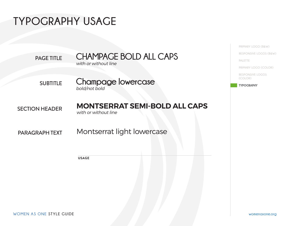## **TYPOGRAPHY USAGE**